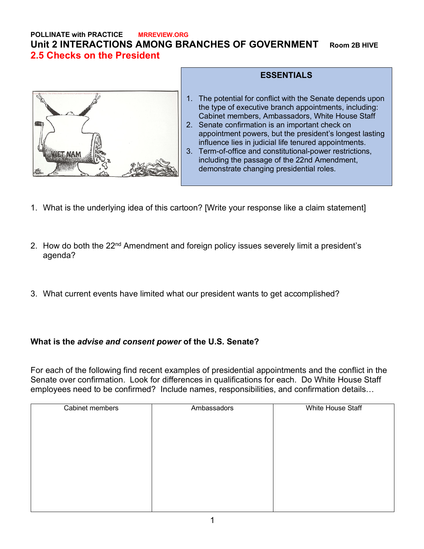## **POLLINATE with PRACTICE MRREVIEW.ORG Unit 2 INTERACTIONS AMONG BRANCHES OF GOVERNMENT Room 2B HIVE 2.5 Checks on the President**



## **ESSENTIALS** 1. The potential for conflict with the Senate depends upon the type of executive branch appointments, including: Cabinet members, Ambassadors, White House Staff 2. Senate confirmation is an important check on appointment powers, but the president's longest lasting influence lies in judicial life tenured appointments. 3. Term-of-office and constitutional-power restrictions,

- including the passage of the 22nd Amendment, demonstrate changing presidential roles.
- 1. What is the underlying idea of this cartoon? [Write your response like a claim statement]
- 2. How do both the 22<sup>nd</sup> Amendment and foreign policy issues severely limit a president's agenda?
- 3. What current events have limited what our president wants to get accomplished?

## **What is the** *advise and consent power* **of the U.S. Senate?**

For each of the following find recent examples of presidential appointments and the conflict in the Senate over confirmation. Look for differences in qualifications for each. Do White House Staff employees need to be confirmed? Include names, responsibilities, and confirmation details…

| Cabinet members | Ambassadors | White House Staff |
|-----------------|-------------|-------------------|
|                 |             |                   |
|                 |             |                   |
|                 |             |                   |
|                 |             |                   |
|                 |             |                   |
|                 |             |                   |
|                 |             |                   |
|                 |             |                   |
|                 |             |                   |